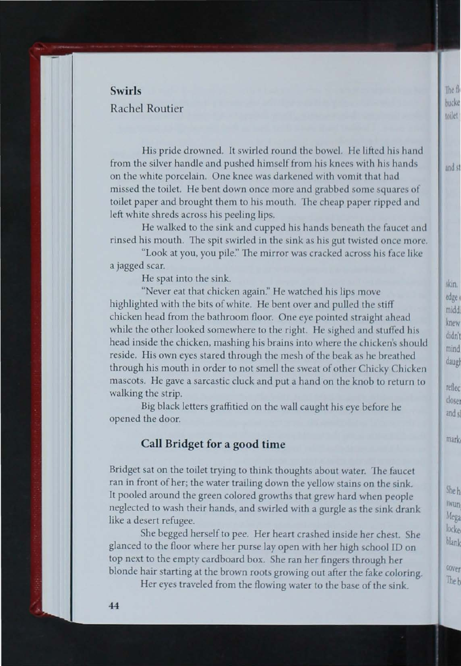## **Swirls** Rachel Routier

His pride drowned. It swirled round the bowel. He lifted his hand from the silver handle and pushed himself from his knees with his hands on the white porcelain. One knee was darkened with vomit that had missed the toilet. He bent down once more and grabbed some squares of toilet paper and brought them to his mouth. The cheap paper ripped and left white shreds across his peeling lips.

He walked to the sink and cupped his hands beneath the faucet and rinsed his mouth. The spit swirled in the sink as his gut twisted once more.

"Look at you, you pile." The mirror was cracked across his face like a jagged scar.

He spat into the sink.

"Never eat that chicken again." He watched his lips move highlighted with the bits of white. He bent over and pulled the stiff chicken head from the bathroom floor. One eye pointed straight ahead while the other looked somewhere to the right. He sighed and stuffed his head inside the chicken, mashing his brains into where the chicken's should reside. His own eyes stared through the mesh of the beak as he breathed through his mouth in order to not smell the sweat of other Chicky Chicken mascots. He gave a sarcastic cluck and put a hand on the knob to return to walking the strip.

Big black letters graffitied on the wall caught his eye before he opened the door.

## **Call Bridget for a good time**

Bridget sat on the toilet trying to think thoughts about water. The faucet ran in front of her; the water trailing down the yellow stains on the sink. It pooled around the green colored growths that grew hard when people neglected to wash their hands, and swirled with a gurgle as the sink drank like a desert refugee.

She begged herself to pee. Her heart crashed inside her chest. She glanced to the floor where her purse lay open with her high school ID on top next to the empty cardboard box. She ran her fingers through her blonde hair starting at the brown roots growing out after the fake coloring.

Her eyes traveled from the flowing water to the base of the sink.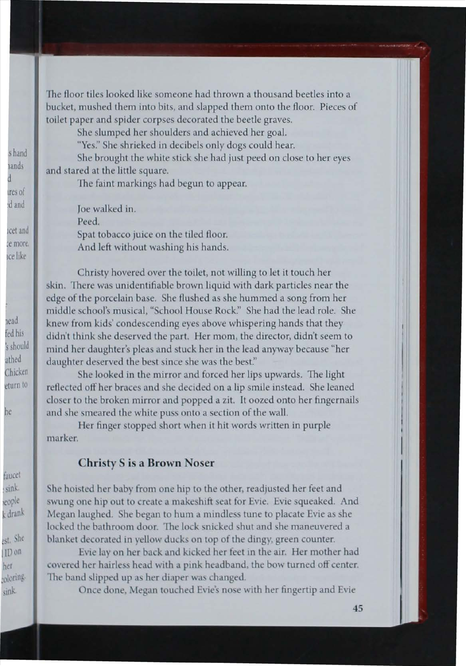The floor tiles looked like someone had thrown a thousand beetles into a bucket, mushed them into bits, and slapped them onto the floor. Pieces of toilet paper and spider corpses decorated the beetle graves.

She slumped her shoulders and achieved her goal.

"Yes." She shrieked in decibels only dogs could hear.

She brought the white stick she had just peed on close to her eyes and stared at the little square.

The faint markings had begun to appear.

Joe walked in. Peed. Spat tobacco juice on the tiled floor. And left without washing his hands.

Christy hovered over the toilet, not willing to let it touch her skin. There was unidentifiable brown liquid with dark particles near the edge of the porcelain base. She flushed as she hummed a song from her middle school's musical, "School House Rock." She had the lead role. She knew from kids' condescending eyes above whispering hands that they didn't think she deserved the part. Her mom, the director, didn't seem to mind her daughter's pleas and stuck her in the lead anyway because "her daughter deserved the best since she was the best."

She looked in the mirror and forced her lips upwards. The light reflected off her braces and she decided on a lip smile instead. She leaned closer to the broken mirror and popped a zit. It oozed onto her fingernails and she smeared the white puss onto a section of the wall.

Her finger stopped short when it hit words written in purple marker.

## **Christy S is a Brown Noser**

She hoisted her baby from one hip to the other, readjusted her feet and swung one hip out to create a makeshift seat for Evie. Evie squeaked. And Megan laughed. She began to hum a mindless tune to placate Evie as she locked the bathroom door. The lock snicked shut and she maneuvered a blanket decorated in yellow ducks on top of the dingy, green counter.

Evie lay on her back and kicked her feet in the air. Her mother had covered her hairless head with a pink headband, the bow turned off center. The band slipped up as her diaper was changed.

Once done, Megan touched Evie's nose with her fingertip and Evie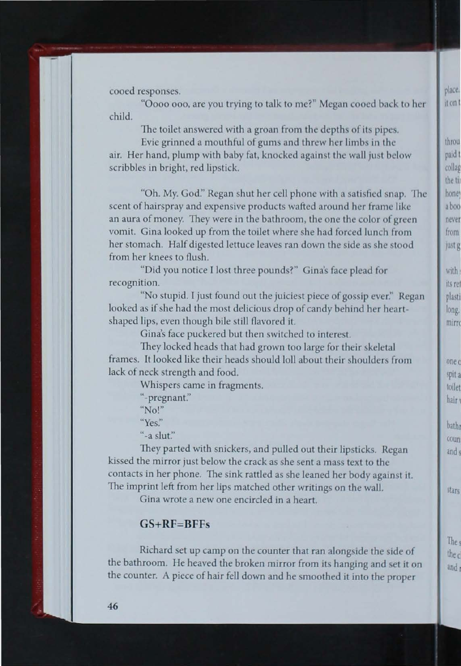cooed responses.

" Oooo ooo, are you trying to talk to me?" Megan cooed back to her child.

The toilet answered with a groan from the depths of its pipes.

Evie grinned a mouthful of gums and threw her limbs in the air. Her hand, plump with baby fat, knocked against the wall just below scribbles in bright, red lipstick.

"Oh. My. God." Regan shut her cell phone with a satisfied snap. The scent of hairspray and expensive products wafted around her frame like an aura of money. They were in the bathroom, the one the color of green vomit. Gina looked up from the toilet where she had forced lunch from her stomach. Half digested lettuce leaves ran down the side as she stood from her knees to flush.

"Did you notice I lost three pounds?" Gina's face plead for recognition.

"No stupid. I just found out the juiciest piece of gossip ever." Regan looked as if she had the most delicious drop of candy behind her heartshaped lips, even though bile still flavored it.

Gina's face puckered but then switched to interest.

They locked heads that had grown too large for their skeletal frames. It looked like their heads should loll about their shoulders from lack of neck strength and food.

Whispers came in fragments.

"-pregnant."  $^{\circ}$ No!" **"Ye** ."  $"$ -a slut."

They parted with snickers, and pulled out their lipsticks. Regan kissed the mirror just below the crack as she sent a mass text to the contacts in her phone. The sink rattled as she leaned her body against it. The imprint left from her lips matched other writings on the wall.

Gina wrote a new one encircled in a heart.

## GS+RF=BFFs

Richard set up camp on the counter that ran alongside the side of the bathroom. He heaved the broken mirror from its hanging and set it on the counter. A piece of hair fell down and he moothed it into the proper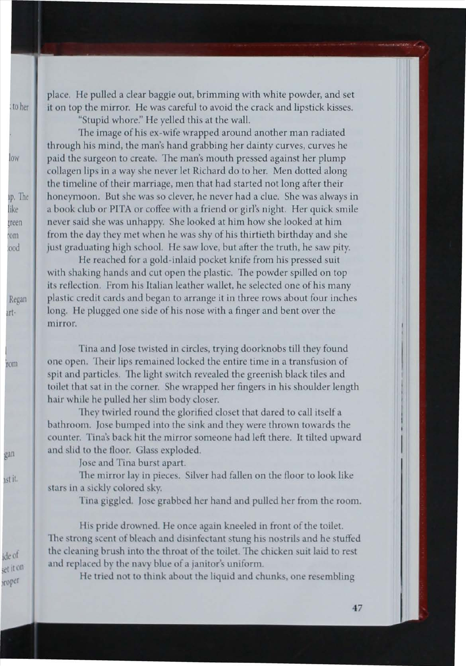place. He pulled a clear baggie out, brimming with white powder, and set it on top the mirror. He was careful to avoid the crack and lipstick kisses.

"Stupid whore." He yelled this at the wall.

The image of his ex-wife wrapped around another man radiated through his mind, the man's hand grabbing her dainty curves, curves he paid the surgeon to create. The man's mouth pressed against her plump collagen lips in a way she never let Richard do to her. Men dotted along the timeline of their marriage, men that had started not long after their honeymoon. But she was so clever, he never had a clue. She was always in a book club or PITA or coffee with a friend or girl's night. Her quick smile never said she was unhappy. She looked at him how she looked at him from the day they met when he was shy of his thirtieth birthday and she just graduating high school. He saw love, but after the truth, he saw pity.

He reached for a gold-inlaid pocket knife from his pressed suit with shaking hands and cut open the plastic. The powder spilled on top its reflection. From his Italian leather wallet, he selected one of his many plastic credit cards and began to arrange it in three rows about four inches long. He plugged one side of his nose with a finger and bent over the mirror.

Tina and Jose twisted in circles, trying doorknobs till they found one open. Their lips remained locked the entire time in a transfusion of spit and particles. The light switch revealed the greenish black tiles and toilet that sat in the corner. She wrapped her fingers in his shoulder length hair while he pulled her slim body closer.

They twirled round the glorified closet that dared to call itself a bathroom. Jose bumped into the sink and they were thrown towards the counter. Tina's back hit the mirror someone had left there. It tilted upward and slid to the floor. Glass exploded.

Jose and Tina burst apart.

The mirror lay in pieces. Silver had fallen on the floor to look like stars in a sickly colored sky.

Tina giggled. Jose grabbed her hand and pulled her from the room.

His pride drowned. He once again kneeled in front of the toilet. The strong scent of bleach and disinfectant stung his nostrils and he stuffed the cleaning brush into the throat of the toilet. The chicken suit laid to rest and replaced by the navy blue of a janitor's uniform.

He tried not to think about the liquid and chunks, one resembling